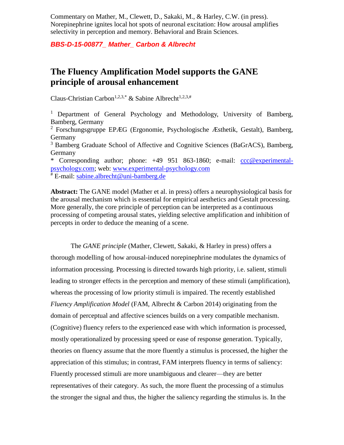Commentary on Mather, M., Clewett, D., Sakaki, M., & Harley, C.W. (in press). Norepinephrine ignites local hot spots of neuronal excitation: How arousal amplifies selectivity in perception and memory. Behavioral and Brain Sciences.

*BBS-D-15-00877\_ Mather\_ Carbon & Albrecht*

## **The Fluency Amplification Model supports the GANE principle of arousal enhancement**

Claus-Christian Carbon<sup>1,2,3,\*</sup> & Sabine Albrecht<sup>1,2,3,#</sup>

<sup>1</sup> Department of General Psychology and Methodology, University of Bamberg, Bamberg, Germany

<sup>2</sup> Forschungsgruppe EPÆG (Ergonomie, Psychologische Æsthetik, Gestalt), Bamberg, Germany

<sup>3</sup> Bamberg Graduate School of Affective and Cognitive Sciences (BaGrACS), Bamberg, Germany

\* Corresponding author; phone: +49 951 863-1860; e-mail: [ccc@experimental](mailto:ccc@experimental-psychology.com)[psychology.com;](mailto:ccc@experimental-psychology.com) web: [www.experimental-psychology.com](http://www.experimental-psychology.com/) # E-mail: [sabine.albrecht@uni-bamberg.de](mailto:sabine.albrecht@uni-bamberg.de)

**Abstract:** The GANE model (Mather et al. in press) offers a neurophysiological basis for the arousal mechanism which is essential for empirical aesthetics and Gestalt processing. More generally, the core principle of perception can be interpreted as a continuous processing of competing arousal states, yielding selective amplification and inhibition of percepts in order to deduce the meaning of a scene.

The *GANE principle* [\(Mather, Clewett, Sakaki, & Harley in press\)](#page-2-0) offers a thorough modelling of how arousal-induced norepinephrine modulates the dynamics of information processing. Processing is directed towards high priority, i.e. salient, stimuli leading to stronger effects in the perception and memory of these stimuli (amplification), whereas the processing of low priority stimuli is impaired. The recently established *Fluency Amplification Model* [\(FAM, Albrecht & Carbon 2014\)](#page-2-1) originating from the domain of perceptual and affective sciences builds on a very compatible mechanism. (Cognitive) fluency refers to the experienced ease with which information is processed, mostly operationalized by processing speed or ease of response generation. Typically, theories on fluency assume that the more fluently a stimulus is processed, the higher the appreciation of this stimulus; in contrast, FAM interprets fluency in terms of saliency: Fluently processed stimuli are more unambiguous and clearer—they are better representatives of their category. As such, the more fluent the processing of a stimulus the stronger the signal and thus, the higher the saliency regarding the stimulus is. In the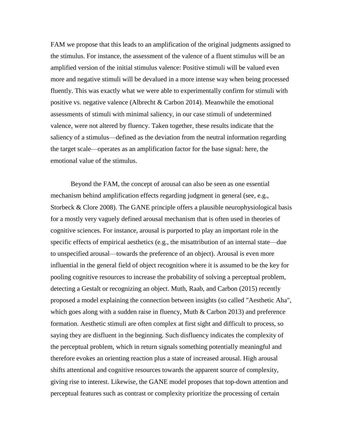FAM we propose that this leads to an amplification of the original judgments assigned to the stimulus. For instance, the assessment of the valence of a fluent stimulus will be an amplified version of the initial stimulus valence: Positive stimuli will be valued even more and negative stimuli will be devalued in a more intense way when being processed fluently. This was exactly what we were able to experimentally confirm for stimuli with positive vs. negative valence [\(Albrecht & Carbon 2014\)](#page-2-1). Meanwhile the emotional assessments of stimuli with minimal saliency, in our case stimuli of undetermined valence, were not altered by fluency. Taken together, these results indicate that the saliency of a stimulus—defined as the deviation from the neutral information regarding the target scale—operates as an amplification factor for the base signal: here, the emotional value of the stimulus.

Beyond the FAM, the concept of arousal can also be seen as one essential mechanism behind amplification effects regarding judgment in general [\(see, e.g.,](#page-3-0)  [Storbeck & Clore 2008\)](#page-3-0). The GANE principle offers a plausible neurophysiological basis for a mostly very vaguely defined arousal mechanism that is often used in theories of cognitive sciences. For instance, arousal is purported to play an important role in the specific effects of empirical aesthetics (e.g., the misattribution of an internal state—due to unspecified arousal—towards the preference of an object). Arousal is even more influential in the general field of object recognition where it is assumed to be the key for pooling cognitive resources to increase the probability of solving a perceptual problem, detecting a Gestalt or recognizing an object. [Muth, Raab, and Carbon \(2015\)](#page-3-1) recently proposed a model explaining the connection between insights [\(so called "Aesthetic Aha",](#page-2-2)  [which goes along with a sudden raise in fluency, Muth & Carbon 2013\)](#page-2-2) and preference formation. Aesthetic stimuli are often complex at first sight and difficult to process, so saying they are disfluent in the beginning. Such disfluency indicates the complexity of the perceptual problem, which in return signals something potentially meaningful and therefore evokes an orienting reaction plus a state of increased arousal. High arousal shifts attentional and cognitive resources towards the apparent source of complexity, giving rise to interest. Likewise, the GANE model proposes that top-down attention and perceptual features such as contrast or complexity prioritize the processing of certain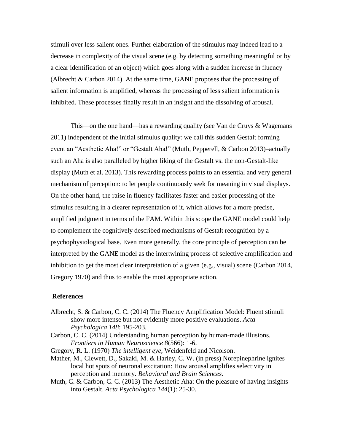stimuli over less salient ones. Further elaboration of the stimulus may indeed lead to a decrease in complexity of the visual scene (e.g. by detecting something meaningful or by a clear identification of an object) which goes along with a sudden increase in fluency [\(Albrecht & Carbon 2014\)](#page-2-1). At the same time, GANE proposes that the processing of salient information is amplified, whereas the processing of less salient information is inhibited. These processes finally result in an insight and the dissolving of arousal.

This—on the one hand—has a rewarding quality [\(see Van de Cruys & Wagemans](#page-3-2)  [2011\)](#page-3-2) independent of the initial stimulus quality: we call this sudden Gestalt forming event an "Aesthetic Aha!" or "Gestalt Aha!" [\(Muth, Pepperell, & Carbon 2013\)](#page-3-3)–actually such an Aha is also paralleled by higher liking of the Gestalt vs. the non-Gestalt-like display [\(Muth et al. 2013\)](#page-3-3). This rewarding process points to an essential and very general mechanism of perception: to let people continuously seek for meaning in visual displays. On the other hand, the raise in fluency facilitates faster and easier processing of the stimulus resulting in a clearer representation of it, which allows for a more precise, amplified judgment in terms of the FAM. Within this scope the GANE model could help to complement the cognitively described mechanisms of Gestalt recognition by a psychophysiological base. Even more generally, the core principle of perception can be interpreted by the GANE model as the intertwining process of selective amplification and inhibition to get the most clear interpretation of a given (e.g., visual) scene [\(Carbon 2014,](#page-2-3) [Gregory 1970\)](#page-2-4) and thus to enable the most appropriate action.

## **References**

- <span id="page-2-1"></span>Albrecht, S. & Carbon, C. C. (2014) The Fluency Amplification Model: Fluent stimuli show more intense but not evidently more positive evaluations. *Acta Psychologica 148*: 195-203.
- <span id="page-2-3"></span>Carbon, C. C. (2014) Understanding human perception by human-made illusions. *Frontiers in Human Neuroscience 8*(566): 1-6.
- <span id="page-2-4"></span>Gregory, R. L. (1970) *The intelligent eye*, Weidenfeld and Nicolson.
- <span id="page-2-0"></span>Mather, M., Clewett, D., Sakaki, M. & Harley, C. W. (in press) Norepinephrine ignites local hot spots of neuronal excitation: How arousal amplifies selectivity in perception and memory. *Behavioral and Brain Sciences*.
- <span id="page-2-2"></span>Muth, C. & Carbon, C. C. (2013) The Aesthetic Aha: On the pleasure of having insights into Gestalt. *Acta Psychologica 144*(1): 25-30.